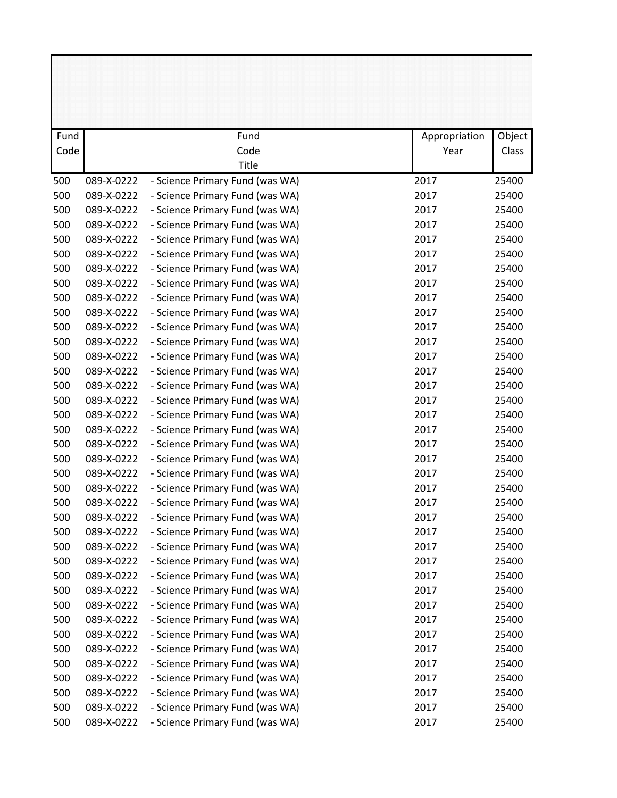| Fund |            | Fund                            | Appropriation | Object |
|------|------------|---------------------------------|---------------|--------|
| Code |            | Code                            | Year          | Class  |
|      |            | Title                           |               |        |
| 500  | 089-X-0222 | - Science Primary Fund (was WA) | 2017          | 25400  |
| 500  | 089-X-0222 | - Science Primary Fund (was WA) | 2017          | 25400  |
| 500  | 089-X-0222 | - Science Primary Fund (was WA) | 2017          | 25400  |
| 500  | 089-X-0222 | - Science Primary Fund (was WA) | 2017          | 25400  |
| 500  | 089-X-0222 | - Science Primary Fund (was WA) | 2017          | 25400  |
| 500  | 089-X-0222 | - Science Primary Fund (was WA) | 2017          | 25400  |
| 500  | 089-X-0222 | - Science Primary Fund (was WA) | 2017          | 25400  |
| 500  | 089-X-0222 | - Science Primary Fund (was WA) | 2017          | 25400  |
| 500  | 089-X-0222 | - Science Primary Fund (was WA) | 2017          | 25400  |
| 500  | 089-X-0222 | - Science Primary Fund (was WA) | 2017          | 25400  |
| 500  | 089-X-0222 | - Science Primary Fund (was WA) | 2017          | 25400  |
| 500  | 089-X-0222 | - Science Primary Fund (was WA) | 2017          | 25400  |
| 500  | 089-X-0222 | - Science Primary Fund (was WA) | 2017          | 25400  |
| 500  | 089-X-0222 | - Science Primary Fund (was WA) | 2017          | 25400  |
| 500  | 089-X-0222 | - Science Primary Fund (was WA) | 2017          | 25400  |
| 500  | 089-X-0222 | - Science Primary Fund (was WA) | 2017          | 25400  |
| 500  | 089-X-0222 | - Science Primary Fund (was WA) | 2017          | 25400  |
| 500  | 089-X-0222 | - Science Primary Fund (was WA) | 2017          | 25400  |
| 500  | 089-X-0222 | - Science Primary Fund (was WA) | 2017          | 25400  |
| 500  | 089-X-0222 | - Science Primary Fund (was WA) | 2017          | 25400  |
| 500  | 089-X-0222 | - Science Primary Fund (was WA) | 2017          | 25400  |
| 500  | 089-X-0222 | - Science Primary Fund (was WA) | 2017          | 25400  |
| 500  | 089-X-0222 | - Science Primary Fund (was WA) | 2017          | 25400  |
| 500  | 089-X-0222 | - Science Primary Fund (was WA) | 2017          | 25400  |
| 500  | 089-X-0222 | - Science Primary Fund (was WA) | 2017          | 25400  |
| 500  | 089-X-0222 | - Science Primary Fund (was WA) | 2017          | 25400  |
| 500  | 089-X-0222 | - Science Primary Fund (was WA) | 2017          | 25400  |
| 500  | 089-X-0222 | - Science Primary Fund (was WA) | 2017          | 25400  |
| 500  | 089-X-0222 | - Science Primary Fund (was WA) | 2017          | 25400  |
| 500  | 089-X-0222 | - Science Primary Fund (was WA) | 2017          | 25400  |
| 500  | 089-X-0222 | - Science Primary Fund (was WA) | 2017          | 25400  |
| 500  | 089-X-0222 | - Science Primary Fund (was WA) | 2017          | 25400  |
| 500  | 089-X-0222 | - Science Primary Fund (was WA) | 2017          | 25400  |
| 500  | 089-X-0222 | - Science Primary Fund (was WA) | 2017          | 25400  |
| 500  | 089-X-0222 | - Science Primary Fund (was WA) | 2017          | 25400  |
| 500  | 089-X-0222 | - Science Primary Fund (was WA) | 2017          | 25400  |
| 500  | 089-X-0222 | - Science Primary Fund (was WA) | 2017          | 25400  |
| 500  | 089-X-0222 | - Science Primary Fund (was WA) | 2017          | 25400  |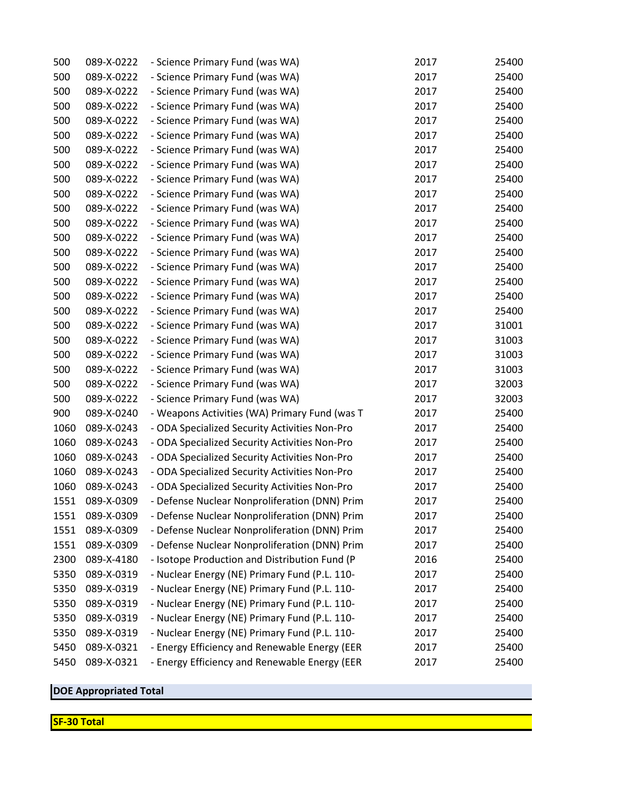| 500  | 089-X-0222 | - Science Primary Fund (was WA)               | 2017 | 25400 |
|------|------------|-----------------------------------------------|------|-------|
| 500  | 089-X-0222 | - Science Primary Fund (was WA)               | 2017 | 25400 |
| 500  | 089-X-0222 | - Science Primary Fund (was WA)               | 2017 | 25400 |
| 500  | 089-X-0222 | - Science Primary Fund (was WA)               | 2017 | 25400 |
| 500  | 089-X-0222 | - Science Primary Fund (was WA)               | 2017 | 25400 |
| 500  | 089-X-0222 | - Science Primary Fund (was WA)               | 2017 | 25400 |
| 500  | 089-X-0222 | - Science Primary Fund (was WA)               | 2017 | 25400 |
| 500  | 089-X-0222 | - Science Primary Fund (was WA)               | 2017 | 25400 |
| 500  | 089-X-0222 | - Science Primary Fund (was WA)               | 2017 | 25400 |
| 500  | 089-X-0222 | - Science Primary Fund (was WA)               | 2017 | 25400 |
| 500  | 089-X-0222 | - Science Primary Fund (was WA)               | 2017 | 25400 |
| 500  | 089-X-0222 | - Science Primary Fund (was WA)               | 2017 | 25400 |
| 500  | 089-X-0222 | - Science Primary Fund (was WA)               | 2017 | 25400 |
| 500  | 089-X-0222 | - Science Primary Fund (was WA)               | 2017 | 25400 |
| 500  | 089-X-0222 | - Science Primary Fund (was WA)               | 2017 | 25400 |
| 500  | 089-X-0222 | - Science Primary Fund (was WA)               | 2017 | 25400 |
| 500  | 089-X-0222 | - Science Primary Fund (was WA)               | 2017 | 25400 |
| 500  | 089-X-0222 | - Science Primary Fund (was WA)               | 2017 | 25400 |
| 500  | 089-X-0222 | - Science Primary Fund (was WA)               | 2017 | 31001 |
| 500  | 089-X-0222 | - Science Primary Fund (was WA)               | 2017 | 31003 |
| 500  | 089-X-0222 | - Science Primary Fund (was WA)               | 2017 | 31003 |
| 500  | 089-X-0222 | - Science Primary Fund (was WA)               | 2017 | 31003 |
| 500  | 089-X-0222 | - Science Primary Fund (was WA)               | 2017 | 32003 |
| 500  | 089-X-0222 | - Science Primary Fund (was WA)               | 2017 | 32003 |
| 900  | 089-X-0240 | - Weapons Activities (WA) Primary Fund (was T | 2017 | 25400 |
| 1060 | 089-X-0243 | - ODA Specialized Security Activities Non-Pro | 2017 | 25400 |
| 1060 | 089-X-0243 | - ODA Specialized Security Activities Non-Pro | 2017 | 25400 |
| 1060 | 089-X-0243 | - ODA Specialized Security Activities Non-Pro | 2017 | 25400 |
| 1060 | 089-X-0243 | - ODA Specialized Security Activities Non-Pro | 2017 | 25400 |
| 1060 | 089-X-0243 | - ODA Specialized Security Activities Non-Pro | 2017 | 25400 |
| 1551 | 089-X-0309 | - Defense Nuclear Nonproliferation (DNN) Prim | 2017 | 25400 |
| 1551 | 089-X-0309 | - Defense Nuclear Nonproliferation (DNN) Prim | 2017 | 25400 |
| 1551 | 089-X-0309 | - Defense Nuclear Nonproliferation (DNN) Prim | 2017 | 25400 |
| 1551 | 089-X-0309 | - Defense Nuclear Nonproliferation (DNN) Prim | 2017 | 25400 |
| 2300 | 089-X-4180 | - Isotope Production and Distribution Fund (P | 2016 | 25400 |
| 5350 | 089-X-0319 | - Nuclear Energy (NE) Primary Fund (P.L. 110- | 2017 | 25400 |
| 5350 | 089-X-0319 | - Nuclear Energy (NE) Primary Fund (P.L. 110- | 2017 | 25400 |
| 5350 | 089-X-0319 | - Nuclear Energy (NE) Primary Fund (P.L. 110- | 2017 | 25400 |
| 5350 | 089-X-0319 | - Nuclear Energy (NE) Primary Fund (P.L. 110- | 2017 | 25400 |
| 5350 | 089-X-0319 | - Nuclear Energy (NE) Primary Fund (P.L. 110- | 2017 | 25400 |
| 5450 | 089-X-0321 | - Energy Efficiency and Renewable Energy (EER | 2017 | 25400 |
| 5450 | 089-X-0321 | - Energy Efficiency and Renewable Energy (EER | 2017 | 25400 |

**DOE Appropriated Total**

## **SF-30 Total**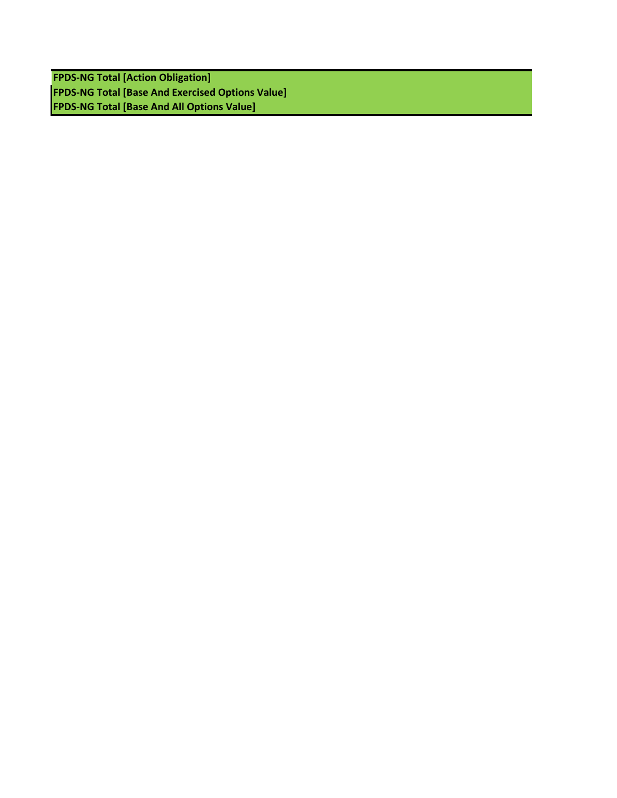**FPDS-NG Total [Base And All Options Value] FPDS-NG Total [Base And Exercised Options Value] FPDS-NG Total [Action Obligation]**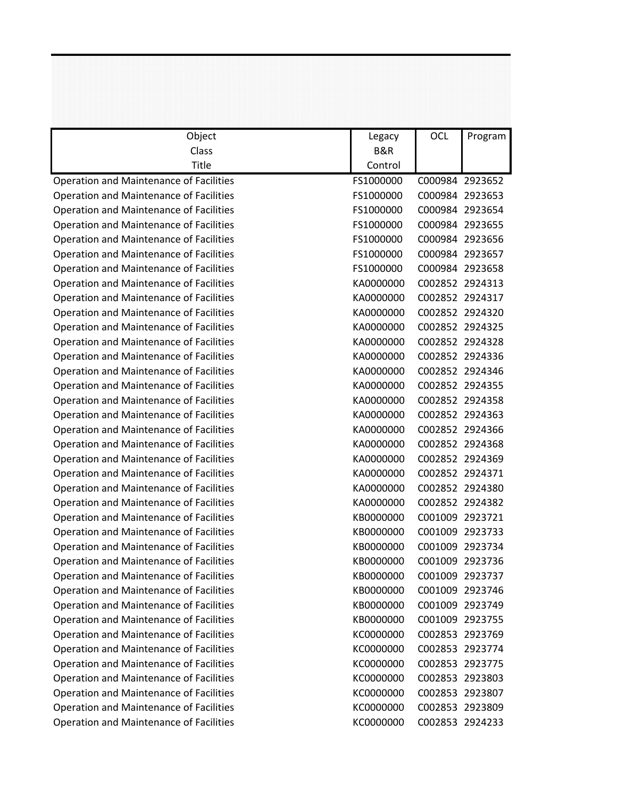| Object                                         | Legacy    | OCL | Program         |
|------------------------------------------------|-----------|-----|-----------------|
| Class                                          | B&R       |     |                 |
| Title                                          | Control   |     |                 |
| Operation and Maintenance of Facilities        | FS1000000 |     | C000984 2923652 |
| <b>Operation and Maintenance of Facilities</b> | FS1000000 |     | C000984 2923653 |
| <b>Operation and Maintenance of Facilities</b> | FS1000000 |     | C000984 2923654 |
| <b>Operation and Maintenance of Facilities</b> | FS1000000 |     | C000984 2923655 |
| <b>Operation and Maintenance of Facilities</b> | FS1000000 |     | C000984 2923656 |
| <b>Operation and Maintenance of Facilities</b> | FS1000000 |     | C000984 2923657 |
| <b>Operation and Maintenance of Facilities</b> | FS1000000 |     | C000984 2923658 |
| Operation and Maintenance of Facilities        | KA0000000 |     | C002852 2924313 |
| <b>Operation and Maintenance of Facilities</b> | KA0000000 |     | C002852 2924317 |
| <b>Operation and Maintenance of Facilities</b> | KA0000000 |     | C002852 2924320 |
| <b>Operation and Maintenance of Facilities</b> | KA0000000 |     | C002852 2924325 |
| <b>Operation and Maintenance of Facilities</b> | KA0000000 |     | C002852 2924328 |
| <b>Operation and Maintenance of Facilities</b> | KA0000000 |     | C002852 2924336 |
| <b>Operation and Maintenance of Facilities</b> | KA0000000 |     | C002852 2924346 |
| <b>Operation and Maintenance of Facilities</b> | KA0000000 |     | C002852 2924355 |
| <b>Operation and Maintenance of Facilities</b> | KA0000000 |     | C002852 2924358 |
| <b>Operation and Maintenance of Facilities</b> | KA0000000 |     | C002852 2924363 |
| <b>Operation and Maintenance of Facilities</b> | KA0000000 |     | C002852 2924366 |
| <b>Operation and Maintenance of Facilities</b> | KA0000000 |     | C002852 2924368 |
| <b>Operation and Maintenance of Facilities</b> | KA0000000 |     | C002852 2924369 |
| <b>Operation and Maintenance of Facilities</b> | KA0000000 |     | C002852 2924371 |
| <b>Operation and Maintenance of Facilities</b> | KA0000000 |     | C002852 2924380 |
| <b>Operation and Maintenance of Facilities</b> | KA0000000 |     | C002852 2924382 |
| <b>Operation and Maintenance of Facilities</b> | KB0000000 |     | C001009 2923721 |
| Operation and Maintenance of Facilities        | KB0000000 |     | C001009 2923733 |
| <b>Operation and Maintenance of Facilities</b> | KB0000000 |     | C001009 2923734 |
| <b>Operation and Maintenance of Facilities</b> | KB0000000 |     | C001009 2923736 |
| <b>Operation and Maintenance of Facilities</b> | KB0000000 |     | C001009 2923737 |
| <b>Operation and Maintenance of Facilities</b> | KB0000000 |     | C001009 2923746 |
| <b>Operation and Maintenance of Facilities</b> | KB0000000 |     | C001009 2923749 |
| Operation and Maintenance of Facilities        | KB0000000 |     | C001009 2923755 |
| <b>Operation and Maintenance of Facilities</b> | KC0000000 |     | C002853 2923769 |
| <b>Operation and Maintenance of Facilities</b> | KC0000000 |     | C002853 2923774 |
| <b>Operation and Maintenance of Facilities</b> | KC0000000 |     | C002853 2923775 |
| Operation and Maintenance of Facilities        | KC0000000 |     | C002853 2923803 |
| Operation and Maintenance of Facilities        | KC0000000 |     | C002853 2923807 |
| Operation and Maintenance of Facilities        | KC0000000 |     | C002853 2923809 |
| <b>Operation and Maintenance of Facilities</b> | KC0000000 |     | C002853 2924233 |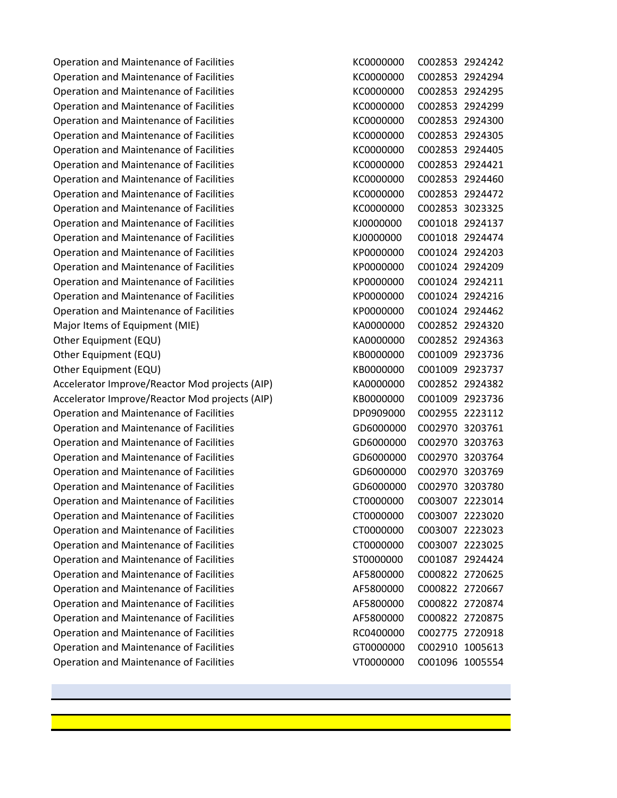Operation and Maintenance of Facilities Operation and Maintenance of Facilities Operation and Maintenance of Facilities Operation and Maintenance of Facilities Operation and Maintenance of Facilities Operation and Maintenance of Facilities Operation and Maintenance of Facilities **Operation and Maintenance of Facilities** Operation and Maintenance of Facilities Operation and Maintenance of Facilities Operation and Maintenance of Facilities Operation and Maintenance of Facilities Operation and Maintenance of Facilities Operation and Maintenance of Facilities Operation and Maintenance of Facilities **Operation and Maintenance of Facilities** Operation and Maintenance of Facilities Operation and Maintenance of Facilities Major Items of Equipment (MIE) Other Equipment (EQU) Other Equipment (EQU) Other Equipment (EQU) Accelerator Improve/Reactor Mod projects (AIP) Accelerator Improve/Reactor Mod projects (AIP) Operation and Maintenance of Facilities Operation and Maintenance of Facilities Operation and Maintenance of Facilities Operation and Maintenance of Facilities Operation and Maintenance of Facilities Operation and Maintenance of Facilities Operation and Maintenance of Facilities Operation and Maintenance of Facilities Operation and Maintenance of Facilities Operation and Maintenance of Facilities Operation and Maintenance of Facilities Operation and Maintenance of Facilities Operation and Maintenance of Facilities **Operation and Maintenance of Facilities** Operation and Maintenance of Facilities **Operation and Maintenance of Facilities** Operation and Maintenance of Facilities Operation and Maintenance of Facilities

| KC0000000 | C002853 | 2924242 |
|-----------|---------|---------|
| KC0000000 | C002853 | 2924294 |
| KC0000000 | C002853 | 2924295 |
| KC0000000 | C002853 | 2924299 |
| KC0000000 | C002853 | 2924300 |
| KC0000000 | C002853 | 2924305 |
| KC0000000 | C002853 | 2924405 |
| KC0000000 | C002853 | 2924421 |
| KC0000000 | C002853 | 2924460 |
| KC0000000 | C002853 | 2924472 |
| KC0000000 | C002853 | 3023325 |
| KJ0000000 | C001018 | 2924137 |
| KJ0000000 | C001018 | 2924474 |
| KP0000000 | C001024 | 2924203 |
| KP0000000 | C001024 | 2924209 |
| KP0000000 | C001024 | 2924211 |
| KP0000000 | C001024 | 2924216 |
| KP0000000 | C001024 | 2924462 |
| KA0000000 | C002852 | 2924320 |
| KA0000000 | C002852 | 2924363 |
| KB0000000 | C001009 | 2923736 |
| KB0000000 | C001009 | 2923737 |
| KA0000000 | C002852 | 2924382 |
| KB0000000 | C001009 | 2923736 |
| DP0909000 | C002955 | 2223112 |
| GD6000000 | C002970 | 3203761 |
| GD6000000 | C002970 | 3203763 |
| GD6000000 | C002970 | 3203764 |
| GD6000000 | C002970 | 3203769 |
| GD6000000 | C002970 | 3203780 |
| CT0000000 | C003007 | 2223014 |
| CT0000000 | C003007 | 2223020 |
| CT0000000 | C003007 | 2223023 |
| CT0000000 | C003007 | 2223025 |
| ST0000000 | C001087 | 2924424 |
| AF5800000 | C000822 | 2720625 |
| AF5800000 | C000822 | 2720667 |
| AF5800000 | C000822 | 2720874 |
| AF5800000 | C000822 | 2720875 |
| RC0400000 | C002775 | 2720918 |
| GT0000000 | C002910 | 1005613 |
| VT0000000 | C001096 | 1005554 |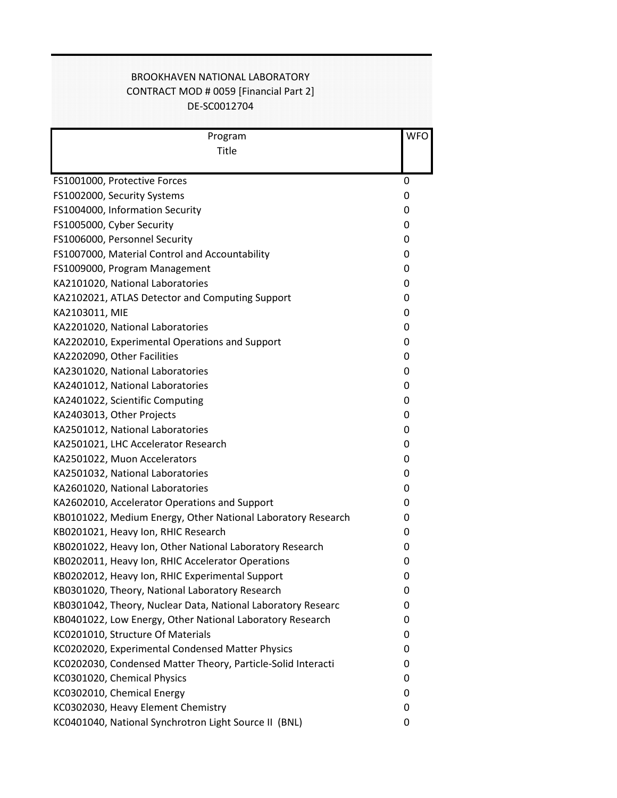## DE-SC0012704 CONTRACT MOD # 0059 [Financial Part 2] BROOKHAVEN NATIONAL LABORATORY

| Program                                                      | <b>WFO</b> |
|--------------------------------------------------------------|------------|
| Title                                                        |            |
|                                                              |            |
| FS1001000, Protective Forces                                 | 0          |
| FS1002000, Security Systems                                  | 0          |
| FS1004000, Information Security                              | 0          |
| FS1005000, Cyber Security                                    | 0          |
| FS1006000, Personnel Security                                | 0          |
| FS1007000, Material Control and Accountability               | 0          |
| FS1009000, Program Management                                | 0          |
| KA2101020, National Laboratories                             | 0          |
| KA2102021, ATLAS Detector and Computing Support              | 0          |
| KA2103011, MIE                                               | 0          |
| KA2201020, National Laboratories                             | 0          |
| KA2202010, Experimental Operations and Support               | 0          |
| KA2202090, Other Facilities                                  | 0          |
| KA2301020, National Laboratories                             | 0          |
| KA2401012, National Laboratories                             | 0          |
| KA2401022, Scientific Computing                              | 0          |
| KA2403013, Other Projects                                    | 0          |
| KA2501012, National Laboratories                             | 0          |
| KA2501021, LHC Accelerator Research                          | 0          |
| KA2501022, Muon Accelerators                                 | 0          |
| KA2501032, National Laboratories                             | 0          |
| KA2601020, National Laboratories                             | 0          |
| KA2602010, Accelerator Operations and Support                | 0          |
| KB0101022, Medium Energy, Other National Laboratory Research | 0          |
| KB0201021, Heavy Ion, RHIC Research                          | 0          |
| KB0201022, Heavy Ion, Other National Laboratory Research     | 0          |
| KB0202011, Heavy Ion, RHIC Accelerator Operations            | 0          |
| KB0202012, Heavy Ion, RHIC Experimental Support              | 0          |
| KB0301020, Theory, National Laboratory Research              | 0          |
| KB0301042, Theory, Nuclear Data, National Laboratory Researc | 0          |
| KB0401022, Low Energy, Other National Laboratory Research    | 0          |
| KC0201010, Structure Of Materials                            | 0          |
| KC0202020, Experimental Condensed Matter Physics             | 0          |
| KC0202030, Condensed Matter Theory, Particle-Solid Interacti | 0          |
| KC0301020, Chemical Physics                                  | 0          |
| KC0302010, Chemical Energy                                   | 0          |
| KC0302030, Heavy Element Chemistry                           | 0          |
| KC0401040, National Synchrotron Light Source II (BNL)        | 0          |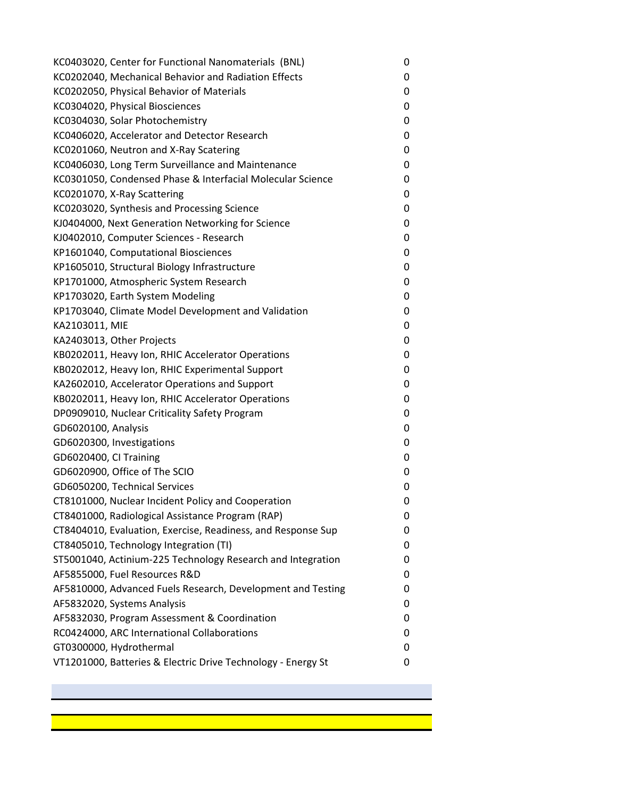| KC0403020, Center for Functional Nanomaterials (BNL)         | 0 |
|--------------------------------------------------------------|---|
| KC0202040, Mechanical Behavior and Radiation Effects         | 0 |
| KC0202050, Physical Behavior of Materials                    | 0 |
| KC0304020, Physical Biosciences                              | 0 |
| KC0304030, Solar Photochemistry                              | 0 |
| KC0406020, Accelerator and Detector Research                 | 0 |
| KC0201060, Neutron and X-Ray Scatering                       | 0 |
| KC0406030, Long Term Surveillance and Maintenance            | 0 |
| KC0301050, Condensed Phase & Interfacial Molecular Science   | 0 |
| KC0201070, X-Ray Scattering                                  | 0 |
| KC0203020, Synthesis and Processing Science                  | 0 |
| KJ0404000, Next Generation Networking for Science            | 0 |
| KJ0402010, Computer Sciences - Research                      | 0 |
| KP1601040, Computational Biosciences                         | 0 |
| KP1605010, Structural Biology Infrastructure                 | 0 |
| KP1701000, Atmospheric System Research                       | 0 |
| KP1703020, Earth System Modeling                             | 0 |
| KP1703040, Climate Model Development and Validation          | 0 |
| KA2103011, MIE                                               | 0 |
| KA2403013, Other Projects                                    | 0 |
| KB0202011, Heavy Ion, RHIC Accelerator Operations            | 0 |
| KB0202012, Heavy Ion, RHIC Experimental Support              | 0 |
| KA2602010, Accelerator Operations and Support                | 0 |
| KB0202011, Heavy Ion, RHIC Accelerator Operations            | 0 |
| DP0909010, Nuclear Criticality Safety Program                | 0 |
| GD6020100, Analysis                                          | 0 |
| GD6020300, Investigations                                    | 0 |
| GD6020400, CI Training                                       | 0 |
| GD6020900, Office of The SCIO                                | 0 |
| GD6050200, Technical Services                                | 0 |
| CT8101000, Nuclear Incident Policy and Cooperation           | 0 |
| CT8401000, Radiological Assistance Program (RAP)             | 0 |
| CT8404010, Evaluation, Exercise, Readiness, and Response Sup | 0 |
| CT8405010, Technology Integration (TI)                       | 0 |
| ST5001040, Actinium-225 Technology Research and Integration  | 0 |
| AF5855000, Fuel Resources R&D                                | 0 |
| AF5810000, Advanced Fuels Research, Development and Testing  | 0 |
| AF5832020, Systems Analysis                                  | 0 |
| AF5832030, Program Assessment & Coordination                 | 0 |
| RC0424000, ARC International Collaborations                  | 0 |
| GT0300000, Hydrothermal                                      | 0 |
| VT1201000, Batteries & Electric Drive Technology - Energy St | 0 |
|                                                              |   |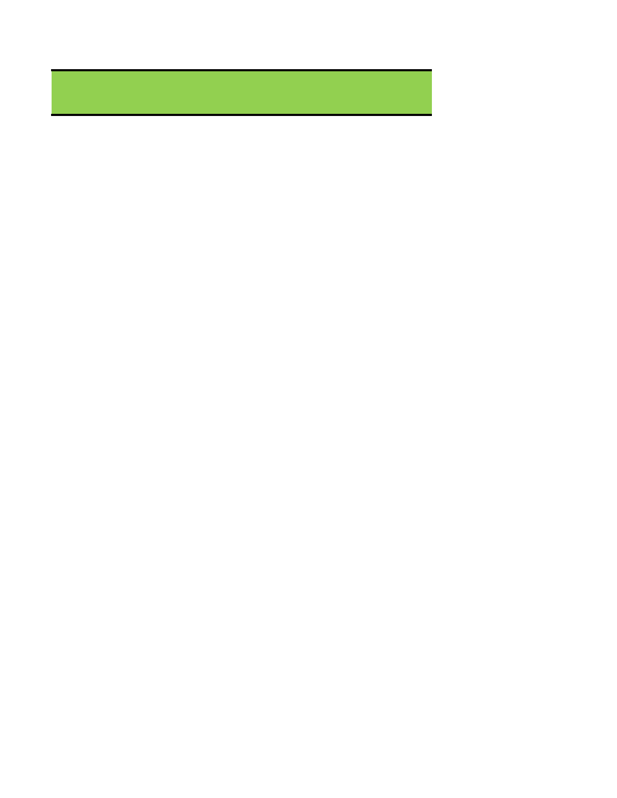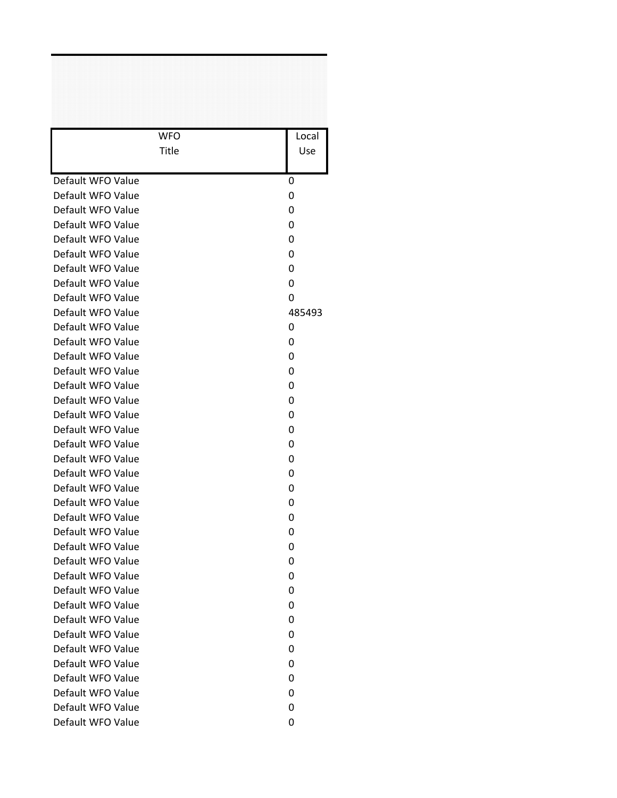| <b>WFO</b>        | Local  |
|-------------------|--------|
| Title             | Use    |
|                   |        |
| Default WFO Value | 0      |
| Default WFO Value | 0      |
| Default WFO Value | 0      |
| Default WFO Value | 0      |
| Default WFO Value | 0      |
| Default WFO Value | 0      |
| Default WFO Value | 0      |
| Default WFO Value | 0      |
| Default WFO Value | 0      |
| Default WFO Value | 485493 |
| Default WFO Value | 0      |
| Default WFO Value | 0      |
| Default WFO Value | 0      |
| Default WFO Value | 0      |
| Default WFO Value | 0      |
| Default WFO Value | 0      |
| Default WFO Value | 0      |
| Default WFO Value | 0      |
| Default WFO Value | 0      |
| Default WFO Value | 0      |
| Default WFO Value | 0      |
| Default WFO Value | 0      |
| Default WFO Value | 0      |
| Default WFO Value | 0      |
| Default WFO Value | 0      |
| Default WFO Value | 0      |
| Default WFO Value | 0      |
| Default WFO Value | 0      |
| Default WFO Value | 0      |
| Default WFO Value | 0      |
| Default WFO Value | 0      |
| Default WFO Value | 0      |
| Default WFO Value | 0      |
| Default WFO Value | 0      |
| Default WFO Value | 0      |
| Default WFO Value | 0      |
| Default WFO Value | 0      |
| Default WFO Value | 0      |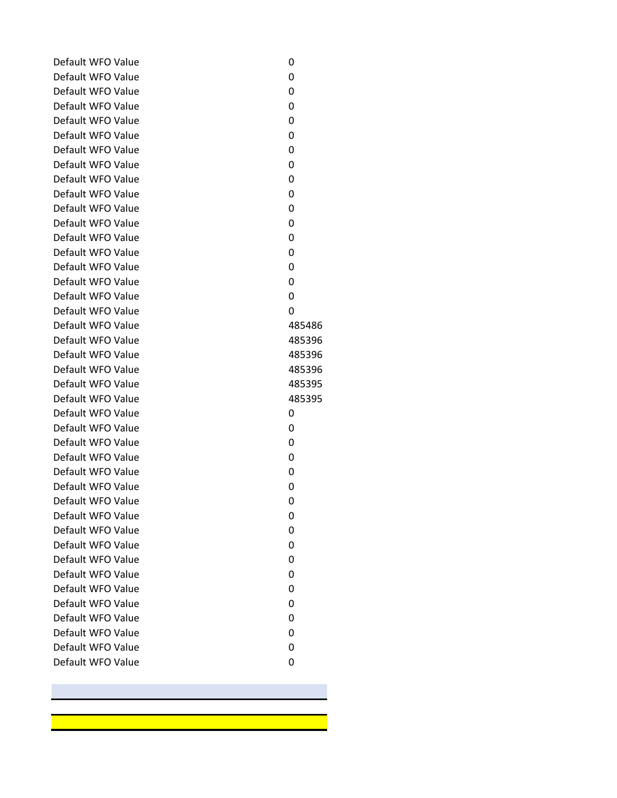| Default WFO Value | 0      |
|-------------------|--------|
| Default WFO Value | 0      |
| Default WFO Value | 0      |
| Default WFO Value | 0      |
| Default WFO Value | 0      |
| Default WFO Value | 0      |
| Default WFO Value | 0      |
| Default WFO Value | 0      |
| Default WFO Value | 0      |
| Default WFO Value | 0      |
| Default WFO Value | 0      |
| Default WFO Value | 0      |
| Default WFO Value | 0      |
| Default WFO Value | 0      |
| Default WFO Value | 0      |
| Default WFO Value | 0      |
| Default WFO Value | 0      |
| Default WFO Value | 0      |
| Default WFO Value | 485486 |
| Default WFO Value | 485396 |
| Default WFO Value | 485396 |
| Default WFO Value | 485396 |
| Default WFO Value | 485395 |
| Default WFO Value | 485395 |
| Default WFO Value | 0      |
| Default WFO Value | 0      |
| Default WFO Value | 0      |
| Default WFO Value | 0      |
| Default WFO Value | 0      |
| Default WFO Value | 0      |
| Default WFO Value | 0      |
| Default WFO Value | 0      |
| Default WFO Value | 0      |
| Default WFO Value | 0      |
| Default WFO Value | 0      |
| Default WFO Value | 0      |
| Default WFO Value | 0      |
| Default WFO Value | 0      |
| Default WFO Value | 0      |
| Default WFO Value | 0      |
| Default WFO Value | 0      |
| Default WFO Value | 0      |
|                   |        |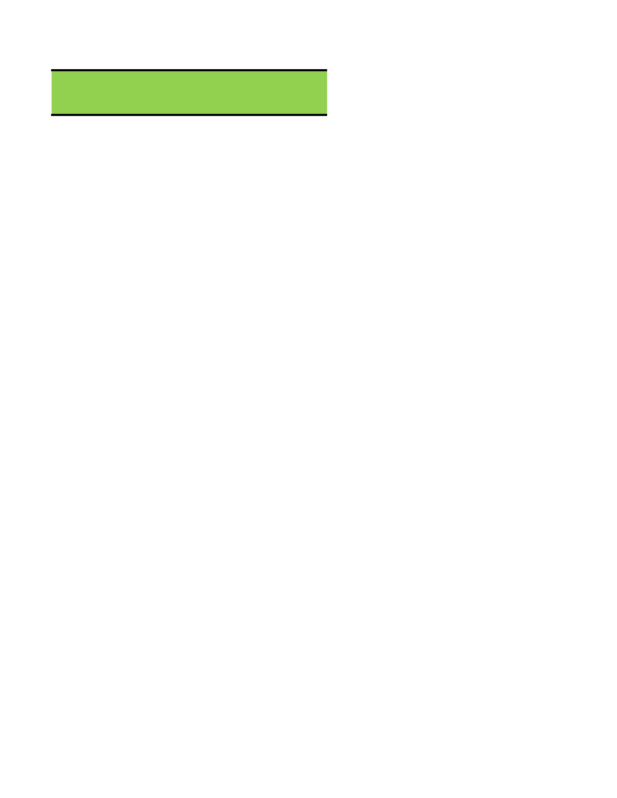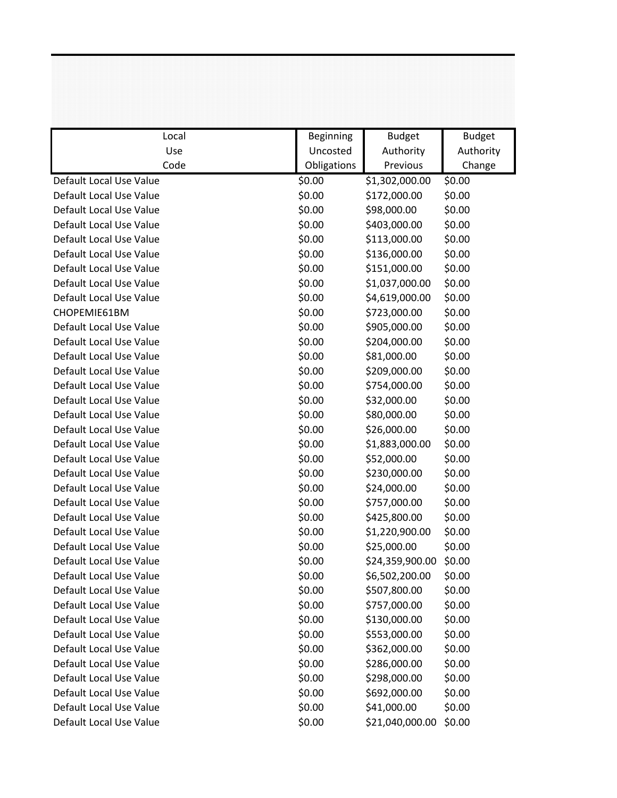| Local                   | <b>Beginning</b> | <b>Budget</b>   | <b>Budget</b> |
|-------------------------|------------------|-----------------|---------------|
| Use                     | Uncosted         | Authority       | Authority     |
| Code                    | Obligations      | Previous        | Change        |
| Default Local Use Value | \$0.00           | \$1,302,000.00  | \$0.00        |
| Default Local Use Value | \$0.00           | \$172,000.00    | \$0.00        |
| Default Local Use Value | \$0.00           | \$98,000.00     | \$0.00        |
| Default Local Use Value | \$0.00           | \$403,000.00    | \$0.00        |
| Default Local Use Value | \$0.00           | \$113,000.00    | \$0.00        |
| Default Local Use Value | \$0.00           | \$136,000.00    | \$0.00        |
| Default Local Use Value | \$0.00           | \$151,000.00    | \$0.00        |
| Default Local Use Value | \$0.00           | \$1,037,000.00  | \$0.00        |
| Default Local Use Value | \$0.00           | \$4,619,000.00  | \$0.00        |
| CHOPEMIE61BM            | \$0.00           | \$723,000.00    | \$0.00        |
| Default Local Use Value | \$0.00           | \$905,000.00    | \$0.00        |
| Default Local Use Value | \$0.00           | \$204,000.00    | \$0.00        |
| Default Local Use Value | \$0.00           | \$81,000.00     | \$0.00        |
| Default Local Use Value | \$0.00           | \$209,000.00    | \$0.00        |
| Default Local Use Value | \$0.00           | \$754,000.00    | \$0.00        |
| Default Local Use Value | \$0.00           | \$32,000.00     | \$0.00        |
| Default Local Use Value | \$0.00           | \$80,000.00     | \$0.00        |
| Default Local Use Value | \$0.00           | \$26,000.00     | \$0.00        |
| Default Local Use Value | \$0.00           | \$1,883,000.00  | \$0.00        |
| Default Local Use Value | \$0.00           | \$52,000.00     | \$0.00        |
| Default Local Use Value | \$0.00           | \$230,000.00    | \$0.00        |
| Default Local Use Value | \$0.00           | \$24,000.00     | \$0.00        |
| Default Local Use Value | \$0.00           | \$757,000.00    | \$0.00        |
| Default Local Use Value | \$0.00           | \$425,800.00    | \$0.00        |
| Default Local Use Value | \$0.00           | \$1,220,900.00  | \$0.00        |
| Default Local Use Value | \$0.00           | \$25,000.00     | \$0.00        |
| Default Local Use Value | \$0.00           | \$24,359,900.00 | \$0.00        |
| Default Local Use Value | \$0.00           | \$6,502,200.00  | \$0.00        |
| Default Local Use Value | \$0.00           | \$507,800.00    | \$0.00        |
| Default Local Use Value | \$0.00           | \$757,000.00    | \$0.00        |
| Default Local Use Value | \$0.00           | \$130,000.00    | \$0.00        |
| Default Local Use Value | \$0.00           | \$553,000.00    | \$0.00        |
| Default Local Use Value | \$0.00           | \$362,000.00    | \$0.00        |
| Default Local Use Value | \$0.00           | \$286,000.00    | \$0.00        |
| Default Local Use Value | \$0.00           | \$298,000.00    | \$0.00        |
| Default Local Use Value | \$0.00           | \$692,000.00    | \$0.00        |
| Default Local Use Value | \$0.00           | \$41,000.00     | \$0.00        |
| Default Local Use Value | \$0.00           | \$21,040,000.00 | \$0.00        |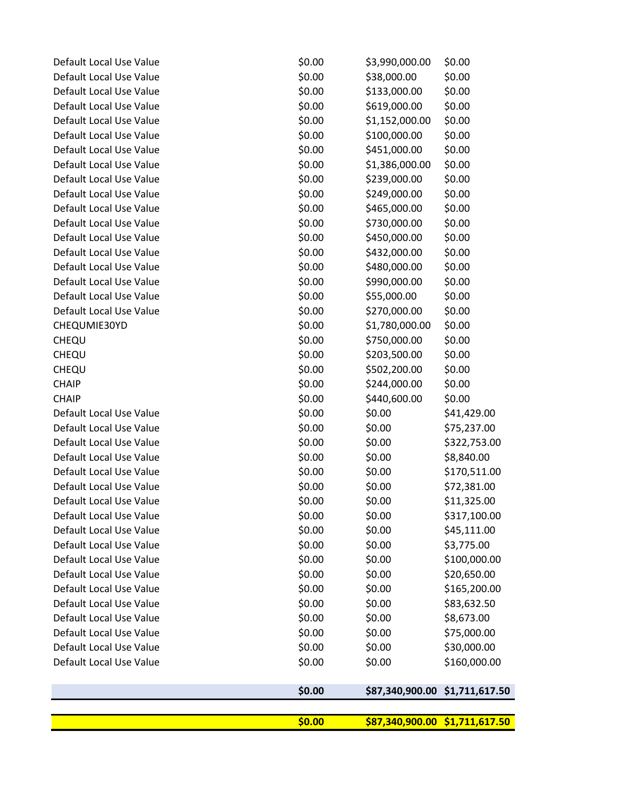|                         | \$0.00 | \$87,340,900.00 \$1,711,617.50 |              |
|-------------------------|--------|--------------------------------|--------------|
| Default Local Use Value | \$0.00 | \$0.00                         | \$160,000.00 |
| Default Local Use Value | \$0.00 | \$0.00                         | \$30,000.00  |
| Default Local Use Value | \$0.00 | \$0.00                         | \$75,000.00  |
| Default Local Use Value | \$0.00 | \$0.00                         | \$8,673.00   |
| Default Local Use Value | \$0.00 | \$0.00                         | \$83,632.50  |
| Default Local Use Value | \$0.00 | \$0.00                         | \$165,200.00 |
| Default Local Use Value | \$0.00 | \$0.00                         | \$20,650.00  |
| Default Local Use Value | \$0.00 | \$0.00                         | \$100,000.00 |
| Default Local Use Value | \$0.00 | \$0.00                         | \$3,775.00   |
| Default Local Use Value | \$0.00 | \$0.00                         | \$45,111.00  |
| Default Local Use Value | \$0.00 | \$0.00                         | \$317,100.00 |
| Default Local Use Value | \$0.00 | \$0.00                         | \$11,325.00  |
| Default Local Use Value | \$0.00 | \$0.00                         | \$72,381.00  |
| Default Local Use Value | \$0.00 | \$0.00                         | \$170,511.00 |
| Default Local Use Value | \$0.00 | \$0.00                         | \$8,840.00   |
| Default Local Use Value | \$0.00 | \$0.00                         | \$322,753.00 |
| Default Local Use Value | \$0.00 | \$0.00                         | \$75,237.00  |
| Default Local Use Value | \$0.00 | \$0.00                         | \$41,429.00  |
| <b>CHAIP</b>            | \$0.00 | \$440,600.00                   | \$0.00       |
| <b>CHAIP</b>            | \$0.00 | \$244,000.00                   | \$0.00       |
| CHEQU                   | \$0.00 | \$502,200.00                   | \$0.00       |
|                         |        |                                |              |
| CHEQU                   | \$0.00 | \$203,500.00                   | \$0.00       |
| CHEQU                   | \$0.00 | \$750,000.00                   | \$0.00       |
| CHEQUMIE30YD            | \$0.00 | \$1,780,000.00                 | \$0.00       |
| Default Local Use Value | \$0.00 | \$270,000.00                   | \$0.00       |
| Default Local Use Value | \$0.00 | \$55,000.00                    | \$0.00       |
| Default Local Use Value | \$0.00 | \$990,000.00                   | \$0.00       |
| Default Local Use Value | \$0.00 | \$480,000.00                   | \$0.00       |
| Default Local Use Value | \$0.00 | \$432,000.00                   | \$0.00       |
| Default Local Use Value | \$0.00 | \$450,000.00                   | \$0.00       |
| Default Local Use Value | \$0.00 | \$730,000.00                   | \$0.00       |
| Default Local Use Value | \$0.00 | \$465,000.00                   | \$0.00       |
| Default Local Use Value | \$0.00 | \$249,000.00                   | \$0.00       |
| Default Local Use Value | \$0.00 | \$239,000.00                   | \$0.00       |
| Default Local Use Value | \$0.00 | \$1,386,000.00                 | \$0.00       |
| Default Local Use Value | \$0.00 | \$451,000.00                   | \$0.00       |
| Default Local Use Value | \$0.00 | \$100,000.00                   | \$0.00       |
| Default Local Use Value | \$0.00 | \$1,152,000.00                 | \$0.00       |
| Default Local Use Value | \$0.00 | \$619,000.00                   | \$0.00       |
| Default Local Use Value | \$0.00 | \$133,000.00                   | \$0.00       |
| Default Local Use Value | \$0.00 | \$38,000.00                    | \$0.00       |
| Default Local Use Value | \$0.00 | \$3,990,000.00                 | \$0.00       |

**\$0.00 \$87,340,900.00 \$1,711,617.50**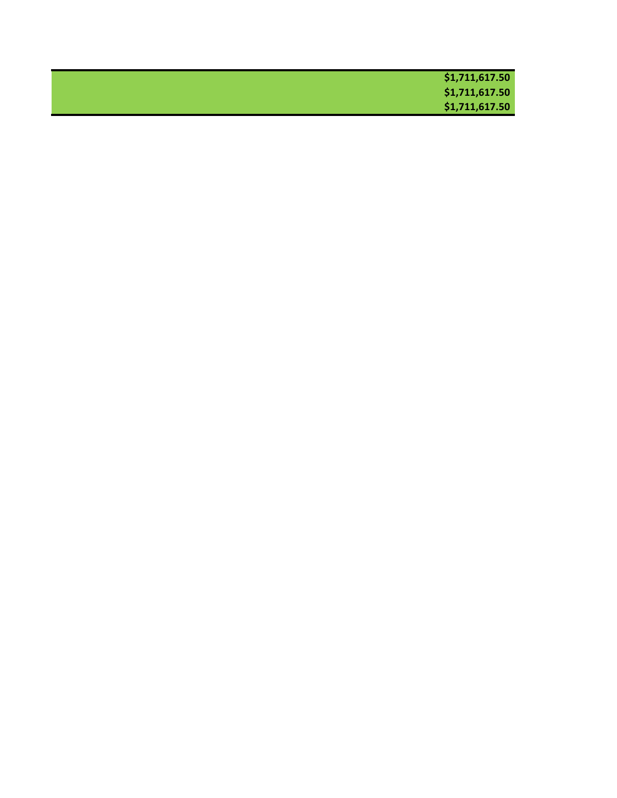| \$1,711,617.50 |
|----------------|
| \$1,711,617.50 |
| \$1,711,617.50 |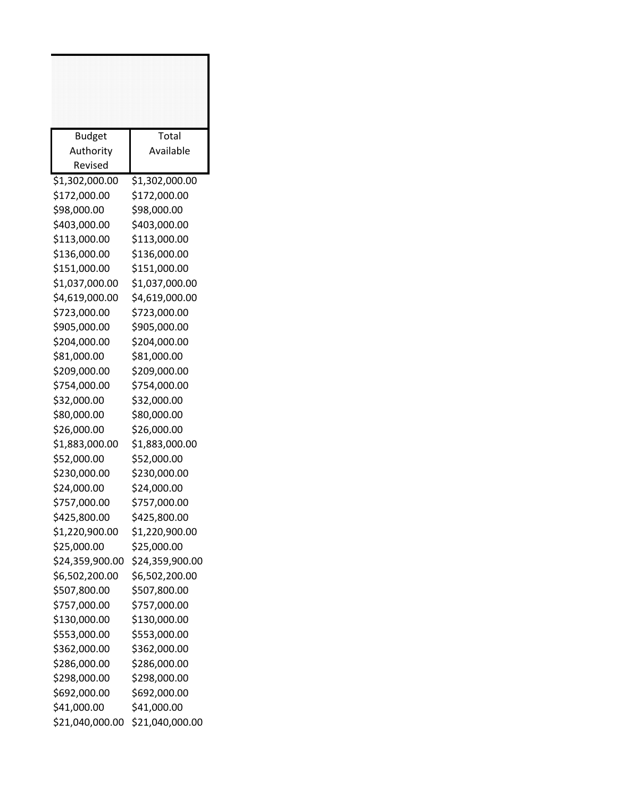| <b>Budget</b>   | Total           |
|-----------------|-----------------|
| Authority       | Available       |
| Revised         |                 |
| \$1,302,000.00  | \$1,302,000.00  |
| \$172,000.00    | \$172,000.00    |
| \$98,000.00     | \$98,000.00     |
| \$403,000.00    | \$403,000.00    |
| \$113,000.00    | \$113,000.00    |
| \$136,000.00    | \$136,000.00    |
| \$151,000.00    | \$151,000.00    |
| \$1,037,000.00  | \$1,037,000.00  |
| \$4,619,000.00  | \$4,619,000.00  |
| \$723,000.00    | \$723,000.00    |
| \$905,000.00    | \$905,000.00    |
| \$204,000.00    | \$204,000.00    |
| \$81,000.00     | \$81,000.00     |
| \$209,000.00    | \$209,000.00    |
| \$754,000.00    | \$754,000.00    |
| \$32,000.00     | \$32,000.00     |
| \$80,000.00     | \$80,000.00     |
| \$26,000.00     | \$26,000.00     |
| \$1,883,000.00  | \$1,883,000.00  |
| \$52,000.00     | \$52,000.00     |
| \$230,000.00    | \$230,000.00    |
| \$24,000.00     | \$24,000.00     |
| \$757,000.00    | \$757,000.00    |
| \$425,800.00    | \$425,800.00    |
| \$1,220,900.00  | \$1,220,900.00  |
| \$25,000.00     | \$25,000.00     |
| \$24,359,900.00 | \$24,359,900.00 |
| \$6,502,200.00  | \$6,502,200.00  |
| \$507,800.00    | \$507,800.00    |
| \$757,000.00    | \$757,000.00    |
| \$130,000.00    | \$130,000.00    |
| \$553,000.00    | \$553,000.00    |
| \$362,000.00    | \$362,000.00    |
| \$286,000.00    | \$286,000.00    |
| \$298,000.00    | \$298,000.00    |
| \$692,000.00    | \$692,000.00    |
| \$41,000.00     | \$41,000.00     |
| \$21,040,000.00 | \$21,040,000.00 |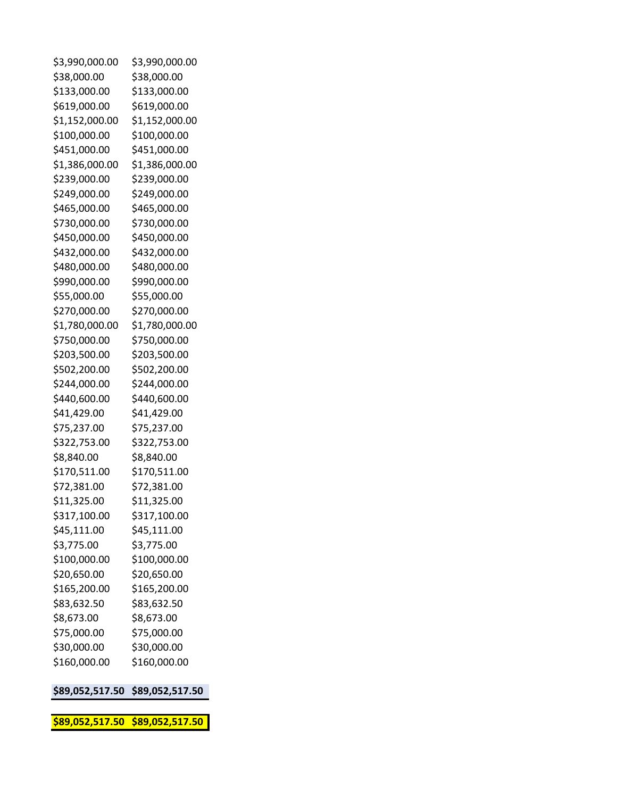| \$3,990,000.00                  | \$3,990,000.00 |
|---------------------------------|----------------|
| \$38,000.00                     | \$38,000.00    |
| \$133,000.00                    | \$133,000.00   |
| \$619,000.00                    | \$619,000.00   |
| \$1,152,000.00                  | \$1,152,000.00 |
| \$100,000.00                    | \$100,000.00   |
| \$451,000.00                    | \$451,000.00   |
| \$1,386,000.00                  | \$1,386,000.00 |
| \$239,000.00                    | \$239,000.00   |
| \$249,000.00                    | \$249,000.00   |
| \$465,000.00                    | \$465,000.00   |
| \$730,000.00                    | \$730,000.00   |
| \$450,000.00                    | \$450,000.00   |
| \$432,000.00                    | \$432,000.00   |
| \$480,000.00                    | \$480,000.00   |
| \$990,000.00                    | \$990,000.00   |
| \$55,000.00                     | \$55,000.00    |
| \$270,000.00                    | \$270,000.00   |
| \$1,780,000.00                  | \$1,780,000.00 |
| \$750,000.00                    | \$750,000.00   |
| \$203,500.00                    | \$203,500.00   |
| \$502,200.00                    | \$502,200.00   |
| \$244,000.00                    | \$244,000.00   |
| \$440,600.00                    | \$440,600.00   |
| \$41,429.00                     | \$41,429.00    |
| \$75,237.00                     | \$75,237.00    |
| \$322,753.00                    | \$322,753.00   |
| \$8,840.00                      | \$8,840.00     |
| \$170,511.00                    | \$170,511.00   |
| \$72,381.00                     | \$72,381.00    |
| \$11,325.00                     | \$11,325.00    |
| \$317,100.00                    | \$317,100.00   |
| \$45,111.00                     | \$45,111.00    |
| \$3,775.00                      | \$3,775.00     |
| \$100,000.00                    | \$100,000.00   |
| \$20,650.00                     | \$20,650.00    |
| \$165,200.00                    | \$165,200.00   |
| \$83,632.50                     | \$83,632.50    |
| \$8,673.00                      | \$8,673.00     |
| \$75,000.00                     | \$75,000.00    |
| \$30,000.00                     | \$30,000.00    |
| \$160,000.00                    | \$160,000.00   |
| \$89,052,517.50 \$89,052,517.50 |                |
|                                 |                |

**\$89,052,517.50 \$89,052,517.50**